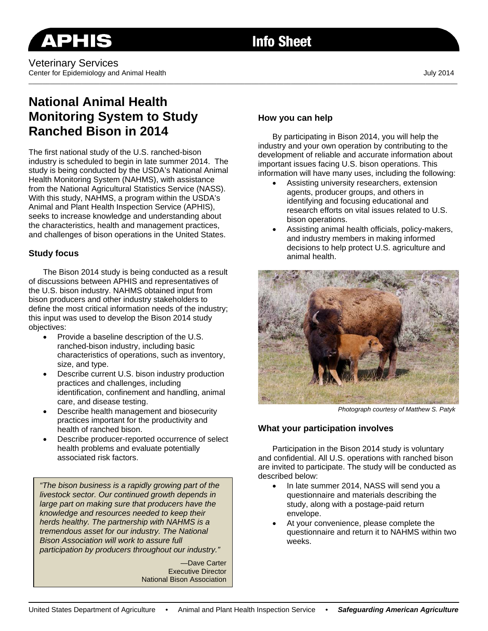# **National Animal Health Monitoring System to Study Ranched Bison in 2014**

The first national study of the U.S. ranched-bison industry is scheduled to begin in late summer 2014. The study is being conducted by the USDA's National Animal Health Monitoring System (NAHMS), with assistance from the National Agricultural Statistics Service (NASS). With this study, NAHMS, a program within the USDA's Animal and Plant Health Inspection Service (APHIS), seeks to increase knowledge and understanding about the characteristics, health and management practices, and challenges of bison operations in the United States.

## **Study focus**

The Bison 2014 study is being conducted as a result of discussions between APHIS and representatives of the U.S. bison industry. NAHMS obtained input from bison producers and other industry stakeholders to define the most critical information needs of the industry; this input was used to develop the Bison 2014 study objectives:

- Provide a baseline description of the U.S. ranched-bison industry, including basic characteristics of operations, such as inventory, size, and type.
- Describe current U.S. bison industry production practices and challenges, including identification, confinement and handling, animal care, and disease testing.
- Describe health management and biosecurity practices important for the productivity and health of ranched bison.
- Describe producer-reported occurrence of select health problems and evaluate potentially associated risk factors.

*"The bison business is a rapidly growing part of the livestock sector. Our continued growth depends in large part on making sure that producers have the knowledge and resources needed to keep their herds healthy. The partnership with NAHMS is a tremendous asset for our industry. The National Bison Association will work to assure full participation by producers throughout our industry."* 

> —Dave Carter Executive Director National Bison Association

# **How you can help**

By participating in Bison 2014, you will help the industry and your own operation by contributing to the development of reliable and accurate information about important issues facing U.S. bison operations. This information will have many uses, including the following:

- Assisting university researchers, extension agents, producer groups, and others in identifying and focusing educational and research efforts on vital issues related to U.S. bison operations.
- Assisting animal health officials, policy-makers, and industry members in making informed decisions to help protect U.S. agriculture and animal health.



*Photograph courtesy of Matthew S. Patyk* 

## **What your participation involves**

Participation in the Bison 2014 study is voluntary and confidential. All U.S. operations with ranched bison are invited to participate. The study will be conducted as described below:

- In late summer 2014, NASS will send you a questionnaire and materials describing the study, along with a postage-paid return envelope.
- At your convenience, please complete the questionnaire and return it to NAHMS within two weeks.